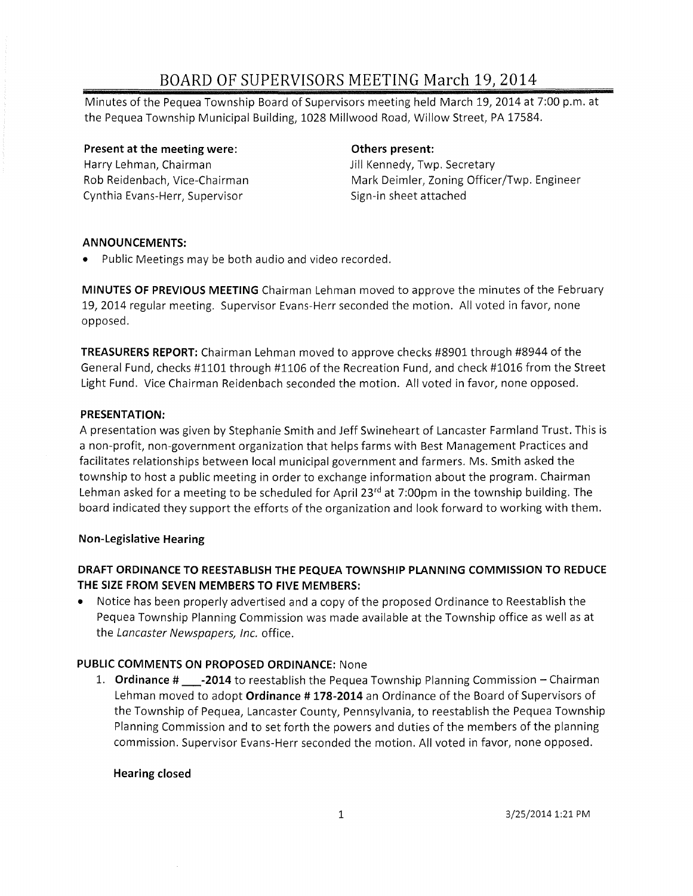Minutes of the Pequea Township Board of Supervisors meeting held March 19,2014 at 7:00 p.m. at the Pequea Township Municipal Building, 1028 Millwood Road, Willow Street, PA 17584.

Present at the meeting were: Harry Lehman, Chairman Rob Reidenbach, Vice-Chairman Cynthia Evans-Herr, Supervisor

### Others present:

Jill Kennedy, Twp. Secretary Mark Deimler, Zoning Officer/Twp. Engineer Sign-in sheet attached

#### ANNOUNCEMENTS:

• Public Meetings may be both audio and video recorded.

MINUTES OF PREVIOUS MEETING Chairman Lehman moved to approve the minutes of the February 19,2014 regular meeting. Supervisor Evans-Herr seconded the motion. All voted in favor, none opposed.

TREASURERS REPORT: Chairman Lehman moved to approve checks #8901 through #8944 of the General Fund, checks #1101 through #1106 of the Recreation Fund, and check #1016 from the Street Light Fund. Vice Chairman Reidenbach seconded the motion. All voted in favor, none opposed.

#### PRESENTATION:

A presentation was given by Stephanie Smith and Jeff Swineheart of Lancaster Farmland Trust. This is a non-profit, non-government organization that helps farms with Best Management Practices and facilitates relationships between local municipal government and farmers. Ms. Smith asked the township to host a public meeting in order to exchange information about the program. Chairman Lehman asked for a meeting to be scheduled for April 23 $rd$  at 7:00pm in the township building. The board indicated they support the efforts of the organization and look forward to working with them.

#### Non-Legislative Hearing

### DRAFT ORDINANCE TO REESTABLISH THE PEQUEA TOWNSHIP PLANNING COMMISSION TO REDUCE THE SIZE FROM SEVEN MEMBERS TO FIVE MEMBERS:

• Notice has been properly advertised and a copy of the proposed Ordinance to Reestablish the Pequea Township Planning Commission was made available at the Township office as well as at the Lancaster Newspapers, Inc. office.

#### PUBLIC COMMENTS ON PROPOSED ORDINANCE: None

1. **Ordinance**  $\#$  **-2014** to reestablish the Pequea Township Planning Commission – Chairman Lehman moved to adopt Ordinance # 178-2014 an Ordinance of the Board of Supervisors of the Township of Pequea, Lancaster County, Pennsylvania, to reestablish the Pequea Township Planning Commission and to set forth the powers and duties of the members of the planning commission. Supervisor Evans-Herr seconded the motion. All voted in favor, none opposed.

#### Hearing closed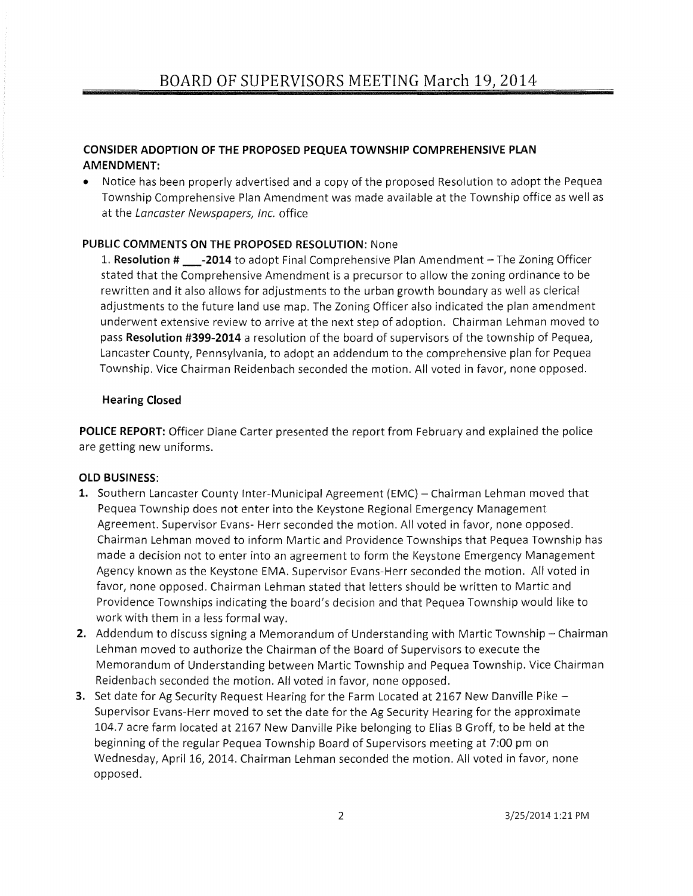#### **CONSIDER ADOPTION OF THE PROPOSED PEQUEA TOWNSHIP COMPREHENSIVE PLAN AMENDMENT:**

• Notice has been properly advertised and a copy of the proposed Resolution to adopt the Pequea Township Comprehensive Plan Amendment was made available at the Township office as well as at the Lancaster Newspapers, Inc. office

#### **PUBLIC COMMENTS ON THE PROPOSED RESOLUTION:** None

1. **Resolution # \_-2014** to adopt Final Comprehensive Plan Amendment - The Zoning Officer stated that the Comprehensive Amendment is a precursor to allow the zoning ordinance to be rewritten and it also allows for adjustments to the urban growth boundary as well as clerical adjustments to the future land use map. The Zoning Officer also indicated the plan amendment underwent extensive review to arrive at the next step of adoption. Chairman Lehman moved to pass **Resolution #399-2014** a resolution of the board of supervisors of the township of Pequea, Lancaster County, Pennsylvania, to adopt an addendum to the comprehensive plan for Pequea Township. Vice Chairman Reidenbach seconded the motion. All voted in favor, none opposed.

#### **Hearing Closed**

**POLICE REPORT:** Officer Diane Carter presented the report from February and explained the police are getting new uniforms.

#### **OLD BUSINESS:**

- 1. Southern Lancaster County Inter-Municipal Agreement (EMC) Chairman Lehman moved that Pequea Township does not enter into the Keystone Regional Emergency Management Agreement. Supervisor Evans- Herr seconded the motion. All voted in favor, none opposed. Chairman Lehman moved to inform Martic and Providence Townships that Pequea Township has made a decision not to enter into an agreement to form the Keystone Emergency Management Agency known as the Keystone EMA. Supervisor Evans-Herr seconded the motion. All voted in favor, none opposed. Chairman Lehman stated that letters should be written to Martic and Providence Townships indicating the board's decision and that Pequea Township would like to work with them in a less formal way.
- **2.** Addendum to discuss signing a Memorandum of Understanding with Martic Township Chairman Lehman moved to authorize the Chairman of the Board of Supervisors to execute the Memorandum of Understanding between Martic Township and Pequea Township. Vice Chairman Reidenbach seconded the motion. All voted in favor, none opposed.
- **3.** Set date for Ag Security Request Hearing for the Farm Located at 2167 New Danville Pike -Supervisor Evans-Herr moved to set the date for the Ag Security Hearing for the approximate 104.7 acre farm located at 2167 New Danville Pike belonging to Elias B Groff, to be held at the beginning of the regular Pequea Township Board of Supervisors meeting at 7:00 pm on Wednesday, April 16, 2014. Chairman Lehman seconded the motion. All voted in favor, none opposed.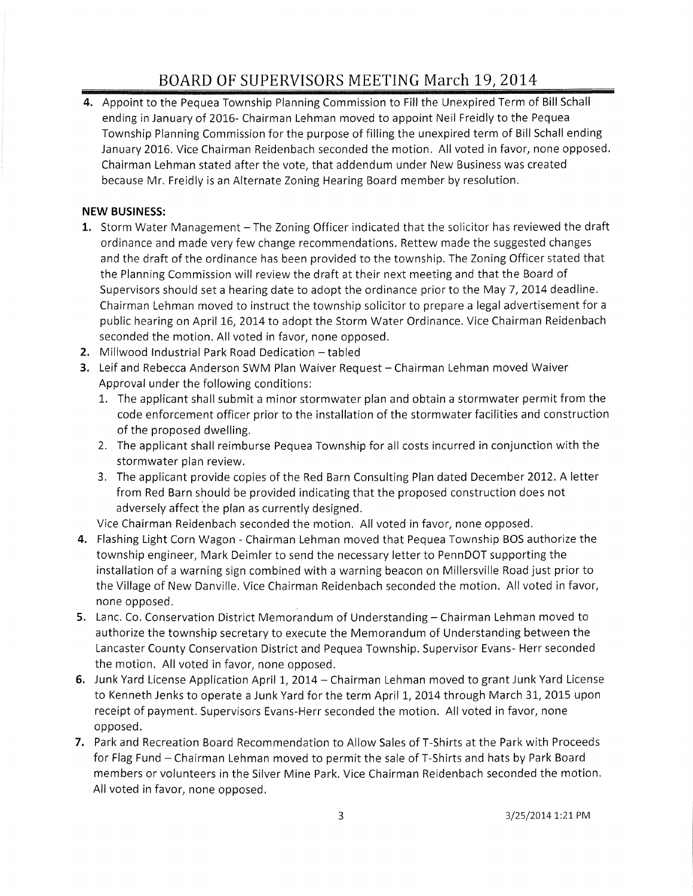**4.** Appoint to the Pequea Township Planning Commission to Fill the Unexpired Term of Bill Schall ending in January of 2016- Chairman Lehman moved to appoint Neil Freidly to the Pequea Township Planning Commission for the purpose of filling the unexpired term of Bill Schall ending January 2016. Vice Chairman Reidenbach seconded the motion. All voted in favor, none opposed. Chairman Lehman stated after the vote, that addendum under New Business was created because Mr. Freidly is an Alternate Zoning Hearing Board member by resolution.

#### **NEW BUSINESS:**

- 1. Storm Water Management The Zoning Officer indicated that the solicitor has reviewed the draft ordinance and made very few change recommendations. Rettew made the suggested changes and the draft of the ordinance has been provided to the township. The Zoning Officer stated that the Planning Commission will review the draft at their next meeting and that the Board of Supervisors should set a hearing date to adopt the ordinance prior to the May 7,2014 deadline. Chairman Lehman moved to instruct the township solicitor to prepare a legal advertisement for a public hearing on April 16, 2014 to adopt the Storm Water Ordinance. Vice Chairman Reidenbach seconded the motion. All voted in favor, none opposed.
- **2.** Millwood Industrial Park Road Dedication tabled
- **3.** Leif and Rebecca Anderson SWM Plan Waiver Request Chairman Lehman moved Waiver Approval under the following conditions:
	- 1. The applicant shall submit a minor stormwater plan and obtain a stormwater permit from the code enforcement officer prior to the installation of the stormwater facilities and construction of the proposed dwelling.
	- 2. The applicant shall reimburse Pequea Township for all costs incurred in conjunction with the stormwater plan review.
	- 3. The applicant provide copies of the Red Barn Consulting Plan dated December 2012. A letter from Red Barn should be provided indicating that the proposed construction does not adversely affect the plan as currently designed.

Vice Chairman Reidenbach seconded the motion. All voted in favor, none opposed.

- **4.** Flashing Light Corn Wagon Chairman Lehman moved that Pequea Township BOS authorize the township engineer, Mark Deimler to send the necessary letter to PennDOT supporting the installation of a warning sign combined with a warning beacon on Millersville Road just prior to the Village of New Danville. Vice Chairman Reidenbach seconded the motion. All voted in favor, none opposed.
- **5.** Lanc. Co. Conservation District Memorandum of Understanding Chairman Lehman moved to authorize the township secretary to execute the Memorandum of Understanding between the Lancaster County Conservation District and Pequea Township. Supervisor Evans- Herr seconded the motion. All voted in favor, none opposed.
- **6.** Junk Yard License Application April 1, 2014 Chairman Lehman moved to grant Junk Yard License to Kenneth Jenks to operate a Junk Yard for the term April 1, 2014 through March 31, 2015 upon receipt of payment. Supervisors Evans-Herr seconded the motion. All voted in favor, none opposed.
- **7.** Park and Recreation Board Recommendation to Allow Sales of T-Shirts at the Park with Proceeds for Flag Fund - Chairman Lehman moved to permit the sale of T-Shirts and hats by Park Board members or volunteers in the Silver Mine Park. Vice Chairman Reidenbach seconded the motion. All voted in favor, none opposed.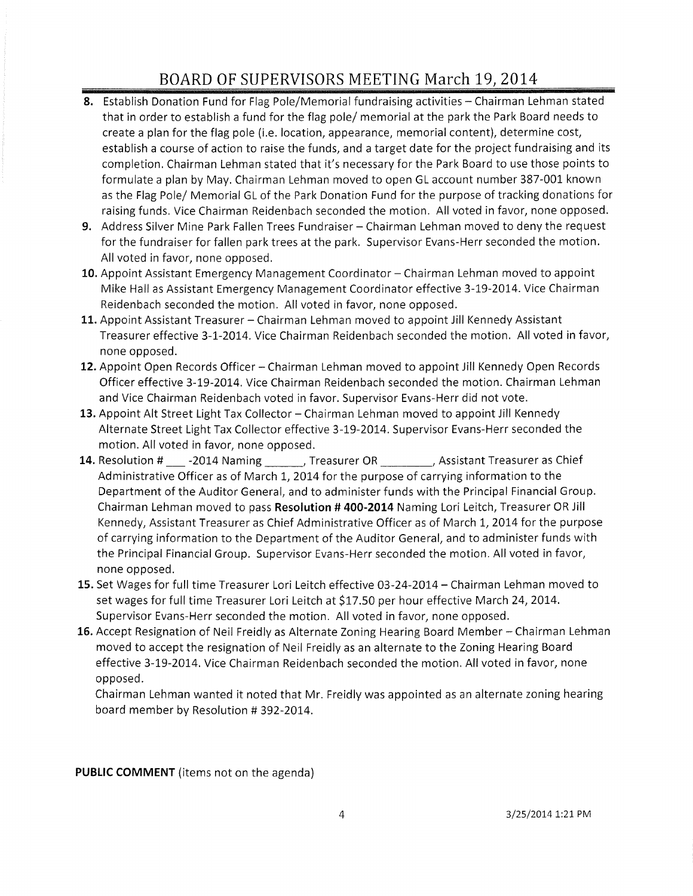- **8.** Establish Donation Fund for Flag Pole/Memorial fundraising activities Chairman Lehman stated that in order to establish a fund for the flag pole/ memorial at the park the Park Board needs to create a plan for the flag pole (i.e. location, appearance, memorial content), determine cost, establish a course of action to raise the funds, and a target date for the project fundraising and its completion. Chairman Lehman stated that it's necessary for the Park Board to use those points to formulate a plan by May. Chairman Lehman moved to open GL account number 387-001 known as the Flag Pole/ Memorial GL of the Park Donation Fund for the purpose of tracking donations for raising funds. Vice Chairman Reidenbach seconded the motion. All voted in favor, none opposed.
- **9.** Address Silver Mine Park Fallen Trees Fundraiser Chairman Lehman moved to deny the request for the fundraiser for fallen park trees at the park. Supervisor Evans-Herr seconded the motion. All voted in favor, none opposed.
- 10. Appoint Assistant Emergency Management Coordinator Chairman Lehman moved to appoint Mike Hall as Assistant Emergency Management Coordinator effective 3-19-2014. Vice Chairman Reidenbach seconded the motion. All voted in favor, none opposed.
- **11.** Appoint Assistant Treasurer Chairman Lehman moved to appoint Jill Kennedy Assistant Treasurer effective 3-1-2014. Vice Chairman Reidenbach seconded the motion. All voted in favor, none opposed.
- **12.** Appoint Open Records Officer Chairman Lehman moved to appoint Jill Kennedy Open Records Officer effective 3-19-2014. Vice Chairman Reidenbach seconded the motion. Chairman Lehman and Vice Chairman Reidenbach voted in favor. Supervisor Evans-Herr did not vote.
- 13. Appoint Alt Street Light Tax Collector Chairman Lehman moved to appoint Jill Kennedy Alternate Street Light Tax Collector effective 3-19-2014. Supervisor Evans-Herr seconded the motion. All voted in favor, none opposed.
- 14. Resolution # \_\_\_\_ -2014 Naming \_\_\_\_\_\_\_, Treasurer OR \_\_\_\_\_\_\_\_, Assistant Treasurer as Chief Administrative Officer as of March 1, 2014 for the purpose of carrying information to the Department of the Auditor General, and to administer funds with the Principal Financial Group. Chairman Lehman moved to pass **Resolution # 400-2014** Naming Lori Leitch, Treasurer OR Jill Kennedy, Assistant Treasurer as Chief Administrative Officer as of March 1,2014 for the purpose of carrying information to the Department of the Auditor General, and to administer funds with the Principal Financial Group. Supervisor Evans-Herr seconded the motion. All voted in favor, none opposed.
- **15.** Set Wages for full time Treasurer Lori Leitch effective 03-24-2014 Chairman Lehman moved to set wages for full time Treasurer Lori Leitch at \$17.50 per hour effective March 24, 2014. Supervisor Evans-Herr seconded the motion. All voted in favor, none opposed.
- 16. Accept Resignation of Neil Freidly as Alternate Zoning Hearing Board Member Chairman Lehman moved to accept the resignation of Neil Freidly as an alternate to the Zoning Hearing Board effective 3-19-2014. Vice Chairman Reidenbach seconded the motion. All voted in favor, none opposed.

Chairman Lehman wanted it noted that Mr. Freidly was appointed as an alternate zoning hearing board member by Resolution # 392-2014.

**PUBLIC COMMENT** (items not on the agenda)